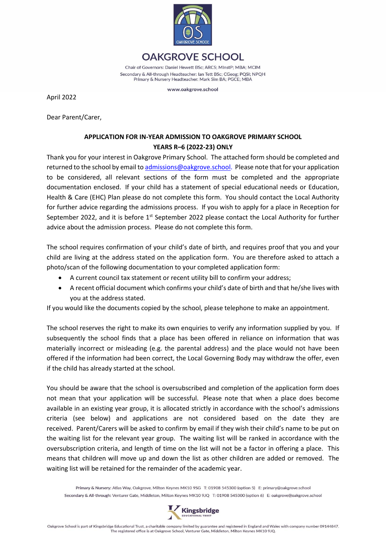

**OAKGROVE SCHOOL** Chair of Governors: Daniel Hewett BSc; ARCS; MInstP; MBA; MCIM Secondary & All-through Headteacher: Ian Tett BSc; CGeog; PQSI; NPQH Primary & Nursery Headteacher: Mark Sim BA: PGCE: MBA

www.oakgrove.school

April 2022

Dear Parent/Carer,

# **APPLICATION FOR IN-YEAR ADMISSION TO OAKGROVE PRIMARY SCHOOL YEARS R–6 (2022-23) ONLY**

Thank you for your interest in Oakgrove Primary School. The attached form should be completed and returned to the school by email t[o admissions@oakgrove.school.](mailto:admissions@oakgrove.school) Please note that for your application to be considered, all relevant sections of the form must be completed and the appropriate documentation enclosed. If your child has a statement of special educational needs or Education, Health & Care (EHC) Plan please do not complete this form. You should contact the Local Authority for further advice regarding the admissions process. If you wish to apply for a place in Reception for September 2022, and it is before  $1<sup>st</sup>$  September 2022 please contact the Local Authority for further advice about the admission process. Please do not complete this form.

The school requires confirmation of your child's date of birth, and requires proof that you and your child are living at the address stated on the application form. You are therefore asked to attach a photo/scan of the following documentation to your completed application form:

- A current council tax statement or recent utility bill to confirm your address;
- A recent official document which confirms your child's date of birth and that he/she lives with you at the address stated.

If you would like the documents copied by the school, please telephone to make an appointment.

The school reserves the right to make its own enquiries to verify any information supplied by you. If subsequently the school finds that a place has been offered in reliance on information that was materially incorrect or misleading (e.g. the parental address) and the place would not have been offered if the information had been correct, the Local Governing Body may withdraw the offer, even if the child has already started at the school.

You should be aware that the school is oversubscribed and completion of the application form does not mean that your application will be successful. Please note that when a place does become available in an existing year group, it is allocated strictly in accordance with the school's admissions criteria (see below) and applications are not considered based on the date they are received. Parent/Carers will be asked to confirm by email if they wish their child's name to be put on the waiting list for the relevant year group. The waiting list will be ranked in accordance with the oversubscription criteria, and length of time on the list will not be a factor in offering a place. This means that children will move up and down the list as other children are added or removed. The waiting list will be retained for the remainder of the academic year.

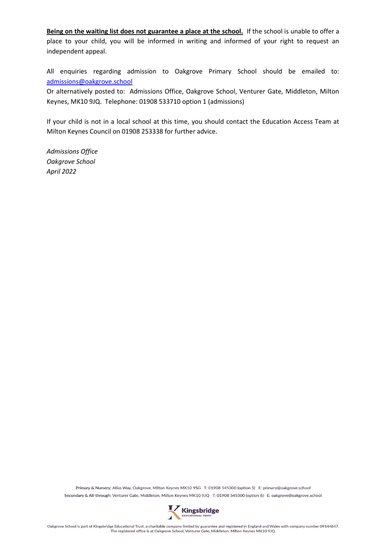Being on the waiting list does not guarantee a place at the school. If the school is unable to offer a place to your child, you will be informed in writing and informed of your right to request an independent appeal.

All enquiries regarding admission to Oakgrove Primary School should be emailed to: [admissions@oakgrove.school](mailto:admissions@oakgrove.school)

Or alternatively posted to: Admissions Office, Oakgrove School, Venturer Gate, Middleton, Milton Keynes, MK10 9JQ. Telephone: 01908 533710 option 1 (admissions)

If your child is not in a local school at this time, you should contact the Education Access Team at Milton Keynes Council on 01908 253338 for further advice.

*Admissions Office Oakgrove School April 2022*

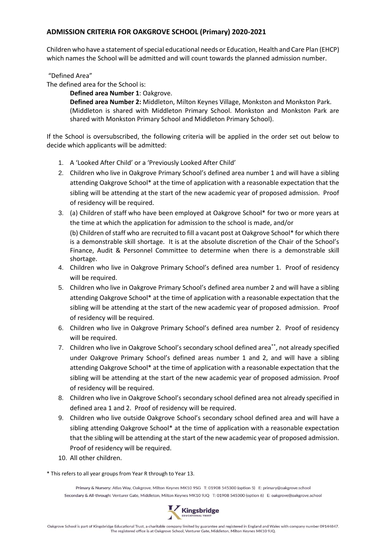#### **ADMISSION CRITERIA FOR OAKGROVE SCHOOL (Primary) 2020-2021**

Children who have a statement of special educational needs or Education, Health and Care Plan (EHCP) which names the School will be admitted and will count towards the planned admission number.

"Defined Area"

The defined area for the School is:

**Defined area Number 1**: Oakgrove.

**Defined area Number 2:** Middleton, Milton Keynes Village, Monkston and Monkston Park. (Middleton is shared with Middleton Primary School. Monkston and Monkston Park are shared with Monkston Primary School and Middleton Primary School).

If the School is oversubscribed, the following criteria will be applied in the order set out below to decide which applicants will be admitted:

- 1. A 'Looked After Child' or a 'Previously Looked After Child'
- 2. Children who live in Oakgrove Primary School's defined area number 1 and will have a sibling attending Oakgrove School\* at the time of application with a reasonable expectation that the sibling will be attending at the start of the new academic year of proposed admission. Proof of residency will be required.
- 3. (a) Children of staff who have been employed at Oakgrove School\* for two or more years at the time at which the application for admission to the school is made, and/or

(b) Children of staff who are recruited to fill a vacant post at Oakgrove School\* for which there is a demonstrable skill shortage. It is at the absolute discretion of the Chair of the School's Finance, Audit & Personnel Committee to determine when there is a demonstrable skill shortage.

- 4. Children who live in Oakgrove Primary School's defined area number 1. Proof of residency will be required.
- 5. Children who live in Oakgrove Primary School's defined area number 2 and will have a sibling attending Oakgrove School\* at the time of application with a reasonable expectation that the sibling will be attending at the start of the new academic year of proposed admission. Proof of residency will be required.
- 6. Children who live in Oakgrove Primary School's defined area number 2. Proof of residency will be required.
- 7. Children who live in Oakgrove School's secondary school defined area\*\*, not already specified under Oakgrove Primary School's defined areas number 1 and 2, and will have a sibling attending Oakgrove School\* at the time of application with a reasonable expectation that the sibling will be attending at the start of the new academic year of proposed admission. Proof of residency will be required.
- 8. Children who live in Oakgrove School's secondary school defined area not already specified in defined area 1 and 2. Proof of residency will be required.
- 9. Children who live outside Oakgrove School's secondary school defined area and will have a sibling attending Oakgrove School\* at the time of application with a reasonable expectation that the sibling will be attending at the start of the new academic year of proposed admission. Proof of residency will be required.
- 10. All other children.

\* This refers to all year groups from Year R through to Year 13.

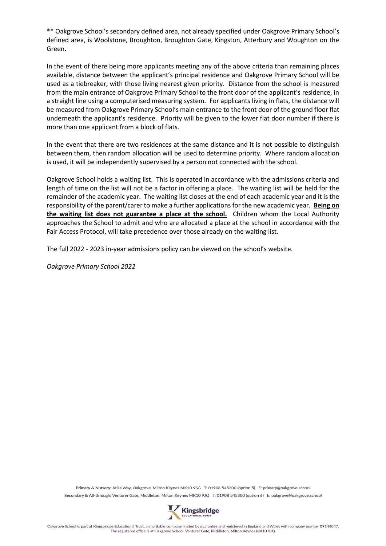\*\* Oakgrove School's secondary defined area, not already specified under Oakgrove Primary School's defined area, is Woolstone, Broughton, Broughton Gate, Kingston, Atterbury and Woughton on the Green.

In the event of there being more applicants meeting any of the above criteria than remaining places available, distance between the applicant's principal residence and Oakgrove Primary School will be used as a tiebreaker, with those living nearest given priority. Distance from the school is measured from the main entrance of Oakgrove Primary School to the front door of the applicant's residence, in a straight line using a computerised measuring system. For applicants living in flats, the distance will be measured from Oakgrove Primary School's main entrance to the front door of the ground floor flat underneath the applicant's residence. Priority will be given to the lower flat door number if there is more than one applicant from a block of flats.

In the event that there are two residences at the same distance and it is not possible to distinguish between them, then random allocation will be used to determine priority. Where random allocation is used, it will be independently supervised by a person not connected with the school.

Oakgrove School holds a waiting list. This is operated in accordance with the admissions criteria and length of time on the list will not be a factor in offering a place. The waiting list will be held for the remainder of the academic year. The waiting list closes at the end of each academic year and it is the responsibility of the parent/carer to make a further applications for the new academic year. **Being on the waiting list does not guarantee a place at the school.** Children whom the Local Authority approaches the School to admit and who are allocated a place at the school in accordance with the Fair Access Protocol, will take precedence over those already on the waiting list.

The full 2022 - 2023 in-year admissions policy can be viewed on the school's website.

*Oakgrove Primary School 2022*

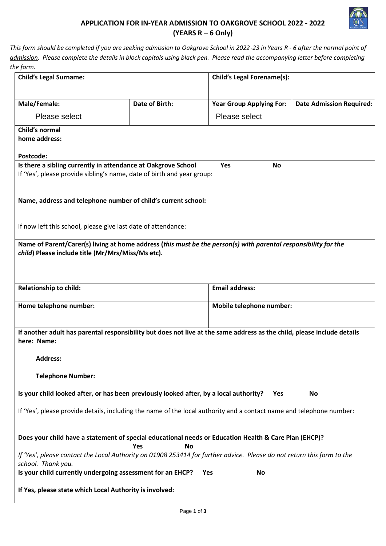

## **APPLICATION FOR IN-YEAR ADMISSION TO OAKGROVE SCHOOL 2022 - 2022 (YEARS R – 6 Only)**

*This form should be completed if you are seeking admission to Oakgrove School in 2022-23 in Years R - 6 after the normal point of admission. Please complete the details in block capitals using black pen. Please read the accompanying letter before completing the form.*

| <b>Child's Legal Surname:</b>                                                                                             |                       | <b>Child's Legal Forename(s):</b> |                                 |  |
|---------------------------------------------------------------------------------------------------------------------------|-----------------------|-----------------------------------|---------------------------------|--|
|                                                                                                                           |                       |                                   |                                 |  |
| Male/Female:                                                                                                              | <b>Date of Birth:</b> | <b>Year Group Applying For:</b>   | <b>Date Admission Required:</b> |  |
| Please select                                                                                                             |                       | Please select                     |                                 |  |
| Child's normal                                                                                                            |                       |                                   |                                 |  |
| home address:                                                                                                             |                       |                                   |                                 |  |
| Postcode:                                                                                                                 |                       |                                   |                                 |  |
| Is there a sibling currently in attendance at Oakgrove School                                                             |                       | Yes<br><b>No</b>                  |                                 |  |
| If 'Yes', please provide sibling's name, date of birth and year group:                                                    |                       |                                   |                                 |  |
|                                                                                                                           |                       |                                   |                                 |  |
| Name, address and telephone number of child's current school:                                                             |                       |                                   |                                 |  |
|                                                                                                                           |                       |                                   |                                 |  |
| If now left this school, please give last date of attendance:                                                             |                       |                                   |                                 |  |
| Name of Parent/Carer(s) living at home address (this must be the person(s) with parental responsibility for the           |                       |                                   |                                 |  |
| child) Please include title (Mr/Mrs/Miss/Ms etc).                                                                         |                       |                                   |                                 |  |
|                                                                                                                           |                       |                                   |                                 |  |
|                                                                                                                           |                       |                                   |                                 |  |
| <b>Relationship to child:</b>                                                                                             |                       | <b>Email address:</b>             |                                 |  |
| Home telephone number:                                                                                                    |                       | Mobile telephone number:          |                                 |  |
|                                                                                                                           |                       |                                   |                                 |  |
| If another adult has parental responsibility but does not live at the same address as the child, please include details   |                       |                                   |                                 |  |
| here: Name:                                                                                                               |                       |                                   |                                 |  |
| <b>Address:</b>                                                                                                           |                       |                                   |                                 |  |
|                                                                                                                           |                       |                                   |                                 |  |
| <b>Telephone Number:</b>                                                                                                  |                       |                                   |                                 |  |
| Is your child looked after, or has been previously looked after, by a local authority?<br><b>No</b><br><b>Yes</b>         |                       |                                   |                                 |  |
|                                                                                                                           |                       |                                   |                                 |  |
| If 'Yes', please provide details, including the name of the local authority and a contact name and telephone number:      |                       |                                   |                                 |  |
|                                                                                                                           |                       |                                   |                                 |  |
| Does your child have a statement of special educational needs or Education Health & Care Plan (EHCP)?<br>Yes<br><b>No</b> |                       |                                   |                                 |  |
| If 'Yes', please contact the Local Authority on 01908 253414 for further advice. Please do not return this form to the    |                       |                                   |                                 |  |
| school. Thank you.<br>Is your child currently undergoing assessment for an EHCP?<br><b>No</b><br>Yes                      |                       |                                   |                                 |  |
|                                                                                                                           |                       |                                   |                                 |  |
| If Yes, please state which Local Authority is involved:                                                                   |                       |                                   |                                 |  |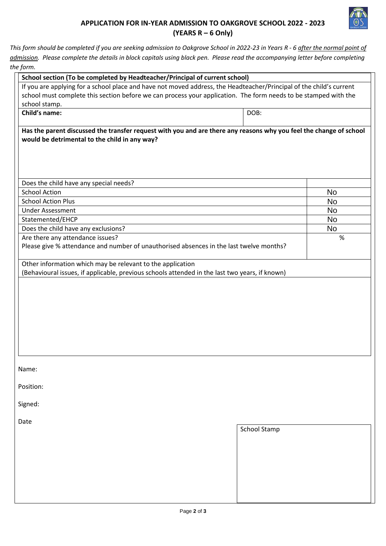

### **APPLICATION FOR IN-YEAR ADMISSION TO OAKGROVE SCHOOL 2022 - 2023 (YEARS R – 6 Only)**

*This form should be completed if you are seeking admission to Oakgrove School in 2022-23 in Years R - 6 after the normal point of admission. Please complete the details in block capitals using black pen. Please read the accompanying letter before completing the form.*

| ווווטן אוי<br>School section (To be completed by Headteacher/Principal of current school)                                                                           |                     |           |
|---------------------------------------------------------------------------------------------------------------------------------------------------------------------|---------------------|-----------|
| If you are applying for a school place and have not moved address, the Headteacher/Principal of the child's current                                                 |                     |           |
| school must complete this section before we can process your application. The form needs to be stamped with the                                                     |                     |           |
| school stamp.                                                                                                                                                       |                     |           |
| Child's name:                                                                                                                                                       | DOB:                |           |
| Has the parent discussed the transfer request with you and are there any reasons why you feel the change of school<br>would be detrimental to the child in any way? |                     |           |
| Does the child have any special needs?                                                                                                                              |                     |           |
| <b>School Action</b>                                                                                                                                                |                     | <b>No</b> |
| <b>School Action Plus</b>                                                                                                                                           |                     | No        |
| <b>Under Assessment</b>                                                                                                                                             |                     | <b>No</b> |
| Statemented/EHCP                                                                                                                                                    |                     | No        |
| Does the child have any exclusions?                                                                                                                                 |                     | No        |
| Are there any attendance issues?                                                                                                                                    |                     | %         |
| Please give % attendance and number of unauthorised absences in the last twelve months?                                                                             |                     |           |
| Other information which may be relevant to the application                                                                                                          |                     |           |
| (Behavioural issues, if applicable, previous schools attended in the last two years, if known)                                                                      |                     |           |
|                                                                                                                                                                     |                     |           |
|                                                                                                                                                                     |                     |           |
|                                                                                                                                                                     |                     |           |
|                                                                                                                                                                     |                     |           |
|                                                                                                                                                                     |                     |           |
|                                                                                                                                                                     |                     |           |
|                                                                                                                                                                     |                     |           |
|                                                                                                                                                                     |                     |           |
|                                                                                                                                                                     |                     |           |
|                                                                                                                                                                     |                     |           |
| Name:                                                                                                                                                               |                     |           |
| Position:                                                                                                                                                           |                     |           |
| Signed:                                                                                                                                                             |                     |           |
| Date                                                                                                                                                                |                     |           |
|                                                                                                                                                                     | <b>School Stamp</b> |           |
|                                                                                                                                                                     |                     |           |
|                                                                                                                                                                     |                     |           |
|                                                                                                                                                                     |                     |           |
|                                                                                                                                                                     |                     |           |
|                                                                                                                                                                     |                     |           |
|                                                                                                                                                                     |                     |           |
|                                                                                                                                                                     |                     |           |
|                                                                                                                                                                     |                     |           |